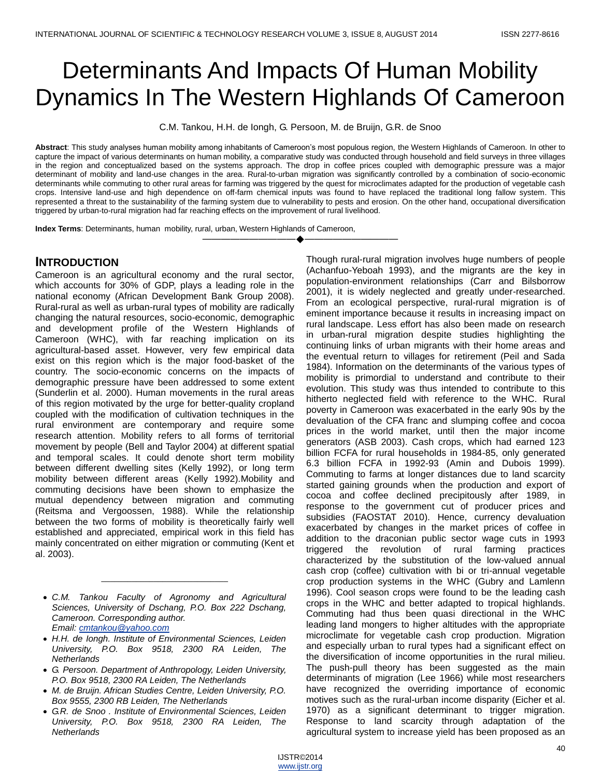# Determinants And Impacts Of Human Mobility Dynamics In The Western Highlands Of Cameroon

C.M. Tankou, H.H. de Iongh, G. Persoon, M. de Bruijn, G.R. de Snoo

**Abstract**: This study analyses human mobility among inhabitants of Cameroon's most populous region, the Western Highlands of Cameroon. In other to capture the impact of various determinants on human mobility, a comparative study was conducted through household and field surveys in three villages in the region and conceptualized based on the systems approach. The drop in coffee prices coupled with demographic pressure was a major determinant of mobility and land-use changes in the area. Rural-to-urban migration was significantly controlled by a combination of socio-economic determinants while commuting to other rural areas for farming was triggered by the quest for microclimates adapted for the production of vegetable cash crops. Intensive land-use and high dependence on off-farm chemical inputs was found to have replaced the traditional long fallow system. This represented a threat to the sustainability of the farming system due to vulnerability to pests and erosion. On the other hand, occupational diversification triggered by urban-to-rural migration had far reaching effects on the improvement of rural livelihood.

————————————————————

**Index Terms**: Determinants, human mobility, rural, urban, Western Highlands of Cameroon,

## **INTRODUCTION**

Cameroon is an agricultural economy and the rural sector, which accounts for 30% of GDP, plays a leading role in the national economy (African Development Bank Group 2008). Rural-rural as well as urban-rural types of mobility are radically changing the natural resources, socio-economic, demographic and development profile of the Western Highlands of Cameroon (WHC), with far reaching implication on its agricultural-based asset. However, very few empirical data exist on this region which is the major food-basket of the country. The socio-economic concerns on the impacts of demographic pressure have been addressed to some extent (Sunderlin et al. 2000). Human movements in the rural areas of this region motivated by the urge for better-quality cropland coupled with the modification of cultivation techniques in the rural environment are contemporary and require some research attention. Mobility refers to all forms of territorial movement by people (Bell and Taylor 2004) at different spatial and temporal scales. It could denote short term mobility between different dwelling sites (Kelly 1992), or long term mobility between different areas (Kelly 1992).Mobility and commuting decisions have been shown to emphasize the mutual dependency between migration and commuting (Reitsma and Vergoossen, 1988). While the relationship between the two forms of mobility is theoretically fairly well established and appreciated, empirical work in this field has mainly concentrated on either migration or commuting (Kent et al. 2003).

 *C.M. Tankou Faculty of Agronomy and Agricultural Sciences, University of Dschang, P.O. Box 222 Dschang, Cameroon. Corresponding author. Email: [cmtankou@yahoo.com](mailto:cmtankou@yahoo.com)* 

\_\_\_\_\_\_\_\_\_\_\_\_\_\_\_\_\_\_\_\_\_\_\_\_\_\_\_\_\_

- *H.H. de Iongh. Institute of Environmental Sciences, Leiden University, P.O. Box 9518, 2300 RA Leiden, The Netherlands*
- *G. Persoon. Department of Anthropology, Leiden University, P.O. Box 9518, 2300 RA Leiden, The Netherlands*
- *M. de Bruijn. African Studies Centre, Leiden University, P.O. Box 9555, 2300 RB Leiden, The Netherlands*
- *G.R. de Snoo . Institute of Environmental Sciences, Leiden University, P.O. Box 9518, 2300 RA Leiden, The Netherlands*

Though rural-rural migration involves huge numbers of people (Achanfuo-Yeboah 1993), and the migrants are the key in population-environment relationships (Carr and Bilsborrow 2001), it is widely neglected and greatly under-researched. From an ecological perspective, rural-rural migration is of eminent importance because it results in increasing impact on rural landscape. Less effort has also been made on research in urban-rural migration despite studies highlighting the continuing links of urban migrants with their home areas and the eventual return to villages for retirement (Peil and Sada 1984). Information on the determinants of the various types of mobility is primordial to understand and contribute to their evolution. This study was thus intended to contribute to this hitherto neglected field with reference to the WHC. Rural poverty in Cameroon was exacerbated in the early 90s by the devaluation of the CFA franc and slumping coffee and cocoa prices in the world market, until then the major income generators (ASB 2003). Cash crops, which had earned 123 billion FCFA for rural households in 1984-85, only generated 6.3 billion FCFA in 1992-93 (Amin and Dubois 1999). Commuting to farms at longer distances due to land scarcity started gaining grounds when the production and export of cocoa and coffee declined precipitously after 1989, in response to the government cut of producer prices and subsidies (FAOSTAT 2010). Hence, currency devaluation exacerbated by changes in the market prices of coffee in addition to the draconian public sector wage cuts in 1993 triggered the revolution of rural farming practices characterized by the substitution of the low-valued annual cash crop (coffee) cultivation with bi or tri-annual vegetable crop production systems in the WHC (Gubry and Lamlenn 1996). Cool season crops were found to be the leading cash crops in the WHC and better adapted to tropical highlands. Commuting had thus been quasi directional in the WHC leading land mongers to higher altitudes with the appropriate microclimate for vegetable cash crop production. Migration and especially urban to rural types had a significant effect on the diversification of income opportunities in the rural milieu. The push-pull theory has been suggested as the main determinants of migration (Lee 1966) while most researchers have recognized the overriding importance of economic motives such as the rural-urban income disparity (Eicher et al. 1970) as a significant determinant to trigger migration. Response to land scarcity through adaptation of the agricultural system to increase yield has been proposed as an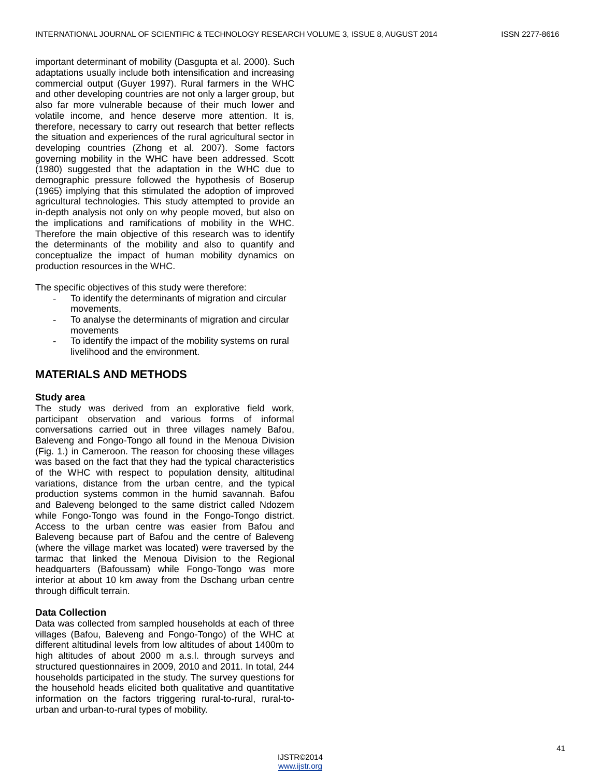important determinant of mobility (Dasgupta et al. 2000). Such adaptations usually include both intensification and increasing commercial output (Guyer 1997). Rural farmers in the WHC and other developing countries are not only a larger group, but also far more vulnerable because of their much lower and volatile income, and hence deserve more attention. It is, therefore, necessary to carry out research that better reflects the situation and experiences of the rural agricultural sector in developing countries (Zhong et al. 2007). Some factors governing mobility in the WHC have been addressed. Scott (1980) suggested that the adaptation in the WHC due to demographic pressure followed the hypothesis of Boserup (1965) implying that this stimulated the adoption of improved agricultural technologies. This study attempted to provide an in-depth analysis not only on why people moved, but also on the implications and ramifications of mobility in the WHC. Therefore the main objective of this research was to identify the determinants of the mobility and also to quantify and conceptualize the impact of human mobility dynamics on production resources in the WHC.

The specific objectives of this study were therefore:

- To identify the determinants of migration and circular movements,
- To analyse the determinants of migration and circular movements
- To identify the impact of the mobility systems on rural livelihood and the environment.

## **MATERIALS AND METHODS**

#### **Study area**

The study was derived from an explorative field work, participant observation and various forms of informal conversations carried out in three villages namely Bafou, Baleveng and Fongo-Tongo all found in the Menoua Division (Fig. 1.) in Cameroon. The reason for choosing these villages was based on the fact that they had the typical characteristics of the WHC with respect to population density, altitudinal variations, distance from the urban centre, and the typical production systems common in the humid savannah. Bafou and Baleveng belonged to the same district called Ndozem while Fongo-Tongo was found in the Fongo-Tongo district. Access to the urban centre was easier from Bafou and Baleveng because part of Bafou and the centre of Baleveng (where the village market was located) were traversed by the tarmac that linked the Menoua Division to the Regional headquarters (Bafoussam) while Fongo-Tongo was more interior at about 10 km away from the Dschang urban centre through difficult terrain.

#### **Data Collection**

Data was collected from sampled households at each of three villages (Bafou, Baleveng and Fongo-Tongo) of the WHC at different altitudinal levels from low altitudes of about 1400m to high altitudes of about 2000 m a.s.l. through surveys and structured questionnaires in 2009, 2010 and 2011. In total, 244 households participated in the study. The survey questions for the household heads elicited both qualitative and quantitative information on the factors triggering rural-to-rural, rural-tourban and urban-to-rural types of mobility.

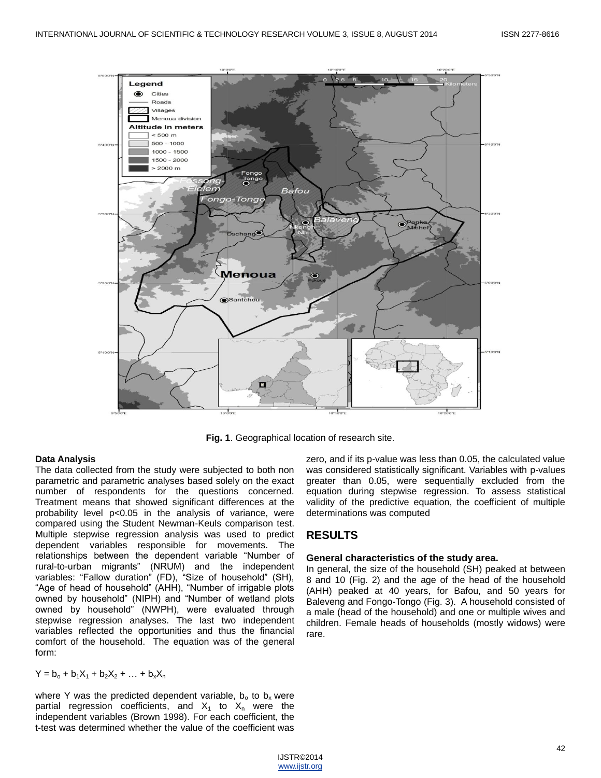

**Fig. 1**. Geographical location of research site.

#### **Data Analysis**

The data collected from the study were subjected to both non parametric and parametric analyses based solely on the exact number of respondents for the questions concerned. Treatment means that showed significant differences at the probability level p<0.05 in the analysis of variance, were compared using the Student Newman-Keuls comparison test. Multiple stepwise regression analysis was used to predict dependent variables responsible for movements. The relationships between the dependent variable "Number of rural-to-urban migrants" (NRUM) and the independent variables: "Fallow duration" (FD), "Size of household" (SH), "Age of head of household" (AHH), "Number of irrigable plots owned by household" (NIPH) and "Number of wetland plots owned by household" (NWPH), were evaluated through stepwise regression analyses. The last two independent variables reflected the opportunities and thus the financial comfort of the household. The equation was of the general form:

 $Y = b_0 + b_1X_1 + b_2X_2 + ... + b_xX_n$ 

where Y was the predicted dependent variable,  $b_0$  to  $b_x$  were partial regression coefficients, and  $X_1$  to  $X_n$  were the independent variables (Brown 1998). For each coefficient, the t-test was determined whether the value of the coefficient was

zero, and if its p-value was less than 0.05, the calculated value was considered statistically significant. Variables with p-values greater than 0.05, were sequentially excluded from the equation during stepwise regression. To assess statistical validity of the predictive equation, the coefficient of multiple determinations was computed

## **RESULTS**

#### **General characteristics of the study area.**

In general, the size of the household (SH) peaked at between 8 and 10 (Fig. 2) and the age of the head of the household (AHH) peaked at 40 years, for Bafou, and 50 years for Baleveng and Fongo-Tongo (Fig. 3). A household consisted of a male (head of the household) and one or multiple wives and children. Female heads of households (mostly widows) were rare.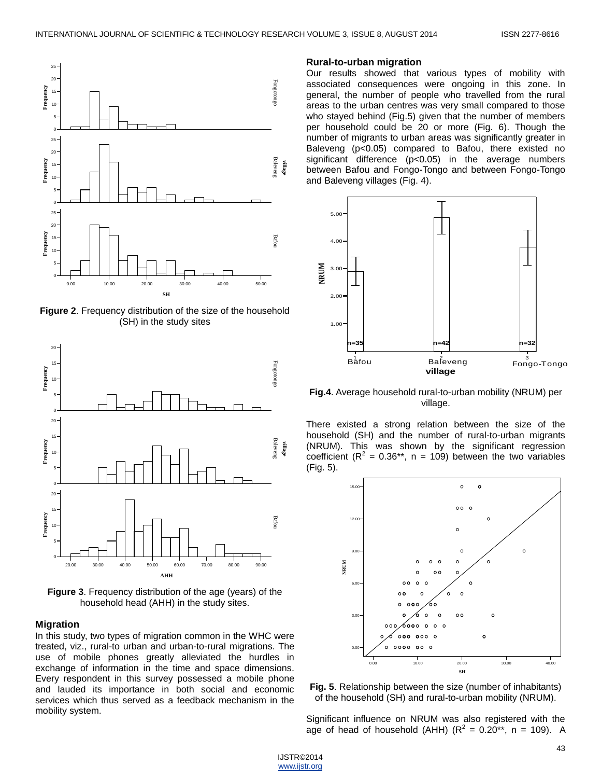

**Figure 2**. Frequency distribution of the size of the household (SH) in the study sites



**Figure 3**. Frequency distribution of the age (years) of the household head (AHH) in the study sites.

#### **Migration**

In this study, two types of migration common in the WHC were treated, viz., rural-to urban and urban-to-rural migrations. The use of mobile phones greatly alleviated the hurdles in exchange of information in the time and space dimensions. Every respondent in this survey possessed a mobile phone and lauded its importance in both social and economic services which thus served as a feedback mechanism in the mobility system.

#### **Rural-to-urban migration**

Our results showed that various types of mobility with associated consequences were ongoing in this zone. In general, the number of people who travelled from the rural areas to the urban centres was very small compared to those who stayed behind (Fig.5) given that the number of members per household could be 20 or more (Fig. 6). Though the number of migrants to urban areas was significantly greater in Baleveng (p<0.05) compared to Bafou, there existed no significant difference (p<0.05) in the average numbers between Bafou and Fongo-Tongo and between Fongo-Tongo and Baleveng villages (Fig. 4).



**Fig.4**. Average household rural-to-urban mobility (NRUM) per village.

There existed a strong relation between the size of the household (SH) and the number of rural-to-urban migrants (NRUM). This was shown by the significant regression coefficient ( $R^2 = 0.36**$ , n = 109) between the two variables (Fig. 5).



**Fig. 5**. Relationship between the size (number of inhabitants) of the household (SH) and rural-to-urban mobility (NRUM).

Significant influence on NRUM was also registered with the age of head of household (AHH) ( $R^2 = 0.20$ \*\*, n = 109). A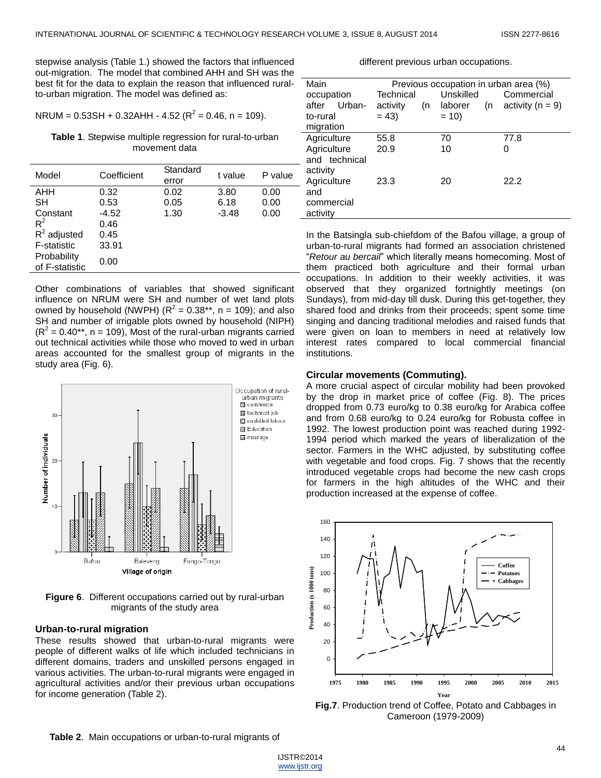stepwise analysis (Table 1.) showed the factors that influenced out-migration. The model that combined AHH and SH was the best fit for the data to explain the reason that influenced ruralto-urban migration. The model was defined as:

$$
NRUM = 0.53SH + 0.32AHH - 4.52 (R2 = 0.46, n = 109).
$$

**Table 1**. Stepwise multiple regression for rural-to-urban movement data

| Model                         | Coefficient | Standard<br>error | t value | P value |
|-------------------------------|-------------|-------------------|---------|---------|
| AHH                           | 0.32        | 0.02              | 3.80    | 0.00    |
| <b>SH</b>                     | 0.53        | 0.05              | 6.18    | 0.00    |
| Constant                      | $-4.52$     | 1.30              | $-3.48$ | 0.00    |
| $R^2$                         | 0.46        |                   |         |         |
| $R^2$ adjusted                | 0.45        |                   |         |         |
| <b>F-statistic</b>            | 33.91       |                   |         |         |
| Probability<br>of F-statistic | 0.00        |                   |         |         |

Other combinations of variables that showed significant influence on NRUM were SH and number of wet land plots owned by household (NWPH) ( $R^2 = 0.38**$ , n = 109); and also SH and number of irrigable plots owned by household (NIPH)  $(R<sup>2</sup> = 0.40<sup>**</sup>$ , n = 109), Most of the rural-urban migrants carried out technical activities while those who moved to wed in urban areas accounted for the smallest group of migrants in the study area (Fig. 6).



**Figure 6**. Different occupations carried out by rural-urban migrants of the study area

## **Urban-to-rural migration**

These results showed that urban-to-rural migrants were people of different walks of life which included technicians in different domains, traders and unskilled persons engaged in various activities. The urban-to-rural migrants were engaged in agricultural activities and/or their previous urban occupations for income generation (Table 2).

## different previous urban occupations.

| Main            | Previous occupation in urban area (%) |    |           |    |                      |
|-----------------|---------------------------------------|----|-----------|----|----------------------|
| occupation      | Technical                             |    | Unskilled |    | Commercial           |
| Urban-<br>after | activity                              | (n | laborer   | (n | activity ( $n = 9$ ) |
| to-rural        | $= 43$                                |    | $= 10$    |    |                      |
| migration       |                                       |    |           |    |                      |
| Agriculture     | 55.8                                  |    | 70        |    | 77.8                 |
| Agriculture     | 20.9                                  |    | 10        |    | 0                    |
| and technical   |                                       |    |           |    |                      |
| activity        |                                       |    |           |    |                      |
| Agriculture     | 23.3                                  |    | 20        |    | 22.2                 |
| and             |                                       |    |           |    |                      |
| commercial      |                                       |    |           |    |                      |
| activity        |                                       |    |           |    |                      |

In the Batsingla sub-chiefdom of the Bafou village, a group of urban-to-rural migrants had formed an association christened ―*Retour au bercail*‖ which literally means homecoming. Most of them practiced both agriculture and their formal urban occupations. In addition to their weekly activities, it was observed that they organized fortnightly meetings (on Sundays), from mid-day till dusk. During this get-together, they shared food and drinks from their proceeds; spent some time singing and dancing traditional melodies and raised funds that were given on loan to members in need at relatively low interest rates compared to local commercial financial institutions.

#### **Circular movements (Commuting).**

A more crucial aspect of circular mobility had been provoked by the drop in market price of coffee (Fig. 8). The prices dropped from 0.73 euro/kg to 0.38 euro/kg for Arabica coffee and from 0.68 euro/kg to 0.24 euro/kg for Robusta coffee in 1992. The lowest production point was reached during 1992- 1994 period which marked the years of liberalization of the sector. Farmers in the WHC adjusted, by substituting coffee with vegetable and food crops. Fig. 7 shows that the recently introduced vegetable crops had become the new cash crops for farmers in the high altitudes of the WHC and their production increased at the expense of coffee.



**Fig.7**. Production trend of Coffee, Potato and Cabbages in Cameroon (1979-2009)

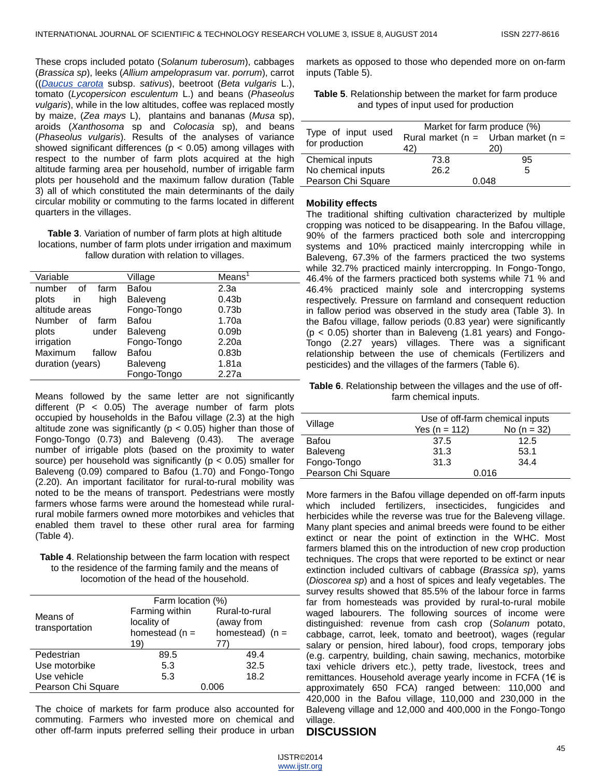These crops included potato (*Solanum tuberosum*), cabbages (*Brassica sp*), leeks (*Allium ampeloprasum* var. *porrum*), carrot ((*[Daucus carota](http://en.wikipedia.org/wiki/Daucus_carota)* subsp. *sativus*), beetroot (*Beta vulgaris* L.), tomato (*Lycopersicon esculentum* L.) and beans (*Phaseolus vulgaris*), while in the low altitudes, coffee was replaced mostly by maize, (*Zea mays* L), plantains and bananas (*Musa* sp), aroids (*Xanthosoma* sp and *Colocasia* sp), and beans (*Phaseolus vulgaris*). Results of the analyses of variance showed significant differences ( $p < 0.05$ ) among villages with respect to the number of farm plots acquired at the high altitude farming area per household, number of irrigable farm plots per household and the maximum fallow duration (Table 3) all of which constituted the main determinants of the daily circular mobility or commuting to the farms located in different quarters in the villages.

| <b>Table 3.</b> Variation of number of farm plots at high altitude |
|--------------------------------------------------------------------|
| locations, number of farm plots under irrigation and maximum       |
| fallow duration with relation to villages.                         |

| Variable                    | Village     | Mean <sup>1</sup> |
|-----------------------------|-------------|-------------------|
| number<br>farm<br>οf        | Bafou       | 2.3a              |
| high<br>plots<br>in         | Baleveng    | 0.43 <sub>b</sub> |
| altitude areas              | Fongo-Tongo | 0.73 <sub>b</sub> |
| <b>Number</b><br>οf<br>farm | Bafou       | 1.70a             |
| plots<br>under              | Baleveng    | 0.09 <sub>b</sub> |
| irrigation                  | Fongo-Tongo | 2.20a             |
| Maximum<br>fallow           | Bafou       | 0.83 <sub>b</sub> |
| duration (years)            | Baleveng    | 1.81a             |
|                             | Fongo-Tongo | 2.27a             |

Means followed by the same letter are not significantly different  $(P < 0.05)$  The average number of farm plots occupied by households in the Bafou village (2.3) at the high altitude zone was significantly ( $p < 0.05$ ) higher than those of Fongo-Tongo (0.73) and Baleveng (0.43). The average number of irrigable plots (based on the proximity to water source) per household was significantly ( $p < 0.05$ ) smaller for Baleveng (0.09) compared to Bafou (1.70) and Fongo-Tongo (2.20). An important facilitator for rural-to-rural mobility was noted to be the means of transport. Pedestrians were mostly farmers whose farms were around the homestead while ruralrural mobile farmers owned more motorbikes and vehicles that enabled them travel to these other rural area for farming (Table 4).

**Table 4**. Relationship between the farm location with respect to the residence of the farming family and the means of locomotion of the head of the household.

|                    | Farm location (%) |                   |  |
|--------------------|-------------------|-------------------|--|
| Means of           | Farming within    | Rural-to-rural    |  |
|                    | locality of       | (away from        |  |
| transportation     | homestead $(n =$  | homestead) $(n =$ |  |
|                    | 19)               | 77)               |  |
| Pedestrian         | 89.5              | 49.4              |  |
| Use motorbike      | 5.3               | 32.5              |  |
| Use vehicle        | 5.3               | 18.2              |  |
| Pearson Chi Square |                   | 0.006             |  |

The choice of markets for farm produce also accounted for commuting. Farmers who invested more on chemical and other off-farm inputs preferred selling their produce in urban

markets as opposed to those who depended more on on-farm inputs (Table 5).

| <b>Table 5.</b> Relationship between the market for farm produce |  |
|------------------------------------------------------------------|--|
| and types of input used for production                           |  |

| Type of input used<br>for production | Market for farm produce (%)<br>42) | Rural market ( $n =$ Urban market ( $n =$<br>20) |  |
|--------------------------------------|------------------------------------|--------------------------------------------------|--|
| Chemical inputs                      | 73.8                               | 95                                               |  |
| No chemical inputs                   | 26.2                               | 5                                                |  |
| Pearson Chi Square                   | 0.048                              |                                                  |  |

#### **Mobility effects**

The traditional shifting cultivation characterized by multiple cropping was noticed to be disappearing. In the Bafou village, 90% of the farmers practiced both sole and intercropping systems and 10% practiced mainly intercropping while in Baleveng, 67.3% of the farmers practiced the two systems while 32.7% practiced mainly intercropping. In Fongo-Tongo, 46.4% of the farmers practiced both systems while 71 % and 46.4% practiced mainly sole and intercropping systems respectively. Pressure on farmland and consequent reduction in fallow period was observed in the study area (Table 3). In the Bafou village, fallow periods (0.83 year) were significantly (p < 0.05) shorter than in Baleveng (1.81 years) and Fongo-Tongo (2.27 years) villages. There was a significant relationship between the use of chemicals (Fertilizers and pesticides) and the villages of the farmers (Table 6).

**Table 6**. Relationship between the villages and the use of offfarm chemical inputs.

|                    | Use of off-farm chemical inputs |               |  |  |
|--------------------|---------------------------------|---------------|--|--|
| Village            | Yes ( $n = 112$ )               | No $(n = 32)$ |  |  |
| Bafou              | 37.5                            | 12.5          |  |  |
| Baleveng           | 31.3                            | 53.1          |  |  |
| Fongo-Tongo        | 31.3                            | 34.4          |  |  |
| Pearson Chi Square | 0.016                           |               |  |  |

More farmers in the Bafou village depended on off-farm inputs which included fertilizers, insecticides, fungicides and herbicides while the reverse was true for the Baleveng village. Many plant species and animal breeds were found to be either extinct or near the point of extinction in the WHC. Most farmers blamed this on the introduction of new crop production techniques. The crops that were reported to be extinct or near extinction included cultivars of cabbage (*Brassica sp*), yams (*Dioscorea sp*) and a host of spices and leafy vegetables. The survey results showed that 85.5% of the labour force in farms far from homesteads was provided by rural-to-rural mobile waged labourers. The following sources of income were distinguished: revenue from cash crop (*Solanum* potato, cabbage, carrot, leek, tomato and beetroot), wages (regular salary or pension, hired labour), food crops, temporary jobs (e.g. carpentry, building, chain sawing, mechanics, motorbike taxi vehicle drivers etc.), petty trade, livestock, trees and remittances. Household average yearly income in FCFA (1€ is approximately 650 FCA) ranged between: 110,000 and 420,000 in the Bafou village, 110,000 and 230,000 in the Baleveng village and 12,000 and 400,000 in the Fongo-Tongo village.

## **DISCUSSION**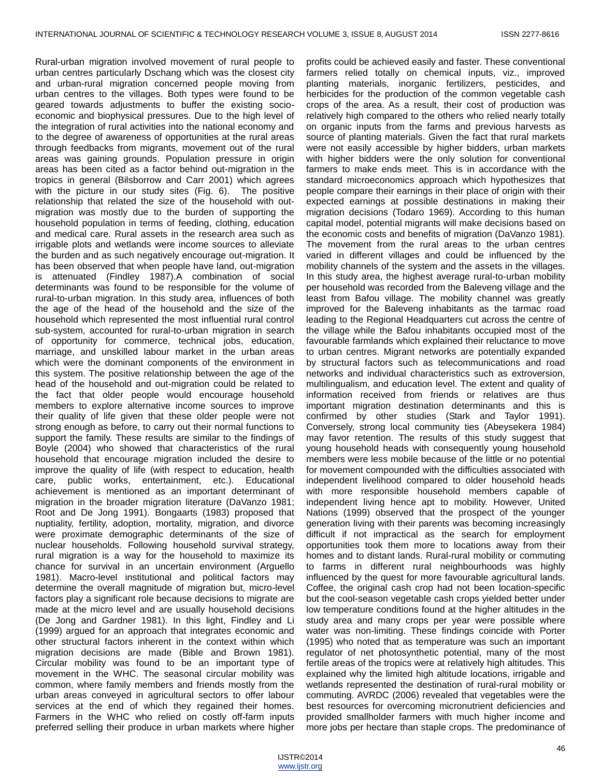Rural-urban migration involved movement of rural people to urban centres particularly Dschang which was the closest city and urban-rural migration concerned people moving from urban centres to the villages. Both types were found to be geared towards adjustments to buffer the existing socioeconomic and biophysical pressures. Due to the high level of the integration of rural activities into the national economy and to the degree of awareness of opportunities at the rural areas through feedbacks from migrants, movement out of the rural areas was gaining grounds. Population pressure in origin areas has been cited as a factor behind out-migration in the tropics in general (Bilsborrow and Carr 2001) which agrees with the picture in our study sites (Fig. 6). The positive relationship that related the size of the household with outmigration was mostly due to the burden of supporting the household population in terms of feeding, clothing, education and medical care. Rural assets in the research area such as irrigable plots and wetlands were income sources to alleviate the burden and as such negatively encourage out-migration. It has been observed that when people have land, out-migration is attenuated (Findley 1987).A combination of social determinants was found to be responsible for the volume of rural-to-urban migration. In this study area, influences of both the age of the head of the household and the size of the household which represented the most influential rural control sub-system, accounted for rural-to-urban migration in search of opportunity for commerce, technical jobs, education, marriage, and unskilled labour market in the urban areas which were the dominant components of the environment in this system. The positive relationship between the age of the head of the household and out-migration could be related to the fact that older people would encourage household members to explore alternative income sources to improve their quality of life given that these older people were not strong enough as before, to carry out their normal functions to support the family. These results are similar to the findings of Boyle (2004) who showed that characteristics of the rural household that encourage migration included the desire to improve the quality of life (with respect to education, health care, public works, entertainment, etc.). Educational achievement is mentioned as an important determinant of migration in the broader migration literature (DaVanzo 1981; Root and De Jong 1991). Bongaarts (1983) proposed that nuptiality, fertility, adoption, mortality, migration, and divorce were proximate demographic determinants of the size of nuclear households. Following household survival strategy, rural migration is a way for the household to maximize its chance for survival in an uncertain environment (Arguello 1981). Macro-level institutional and political factors may determine the overall magnitude of migration but, micro-level factors play a significant role because decisions to migrate are made at the micro level and are usually household decisions (De Jong and Gardner 1981). In this light, Findley and Li (1999) argued for an approach that integrates economic and other structural factors inherent in the context within which migration decisions are made (Bible and Brown 1981). Circular mobility was found to be an important type of movement in the WHC. The seasonal circular mobility was common, where family members and friends mostly from the urban areas conveyed in agricultural sectors to offer labour services at the end of which they regained their homes. Farmers in the WHC who relied on costly off-farm inputs preferred selling their produce in urban markets where higher

profits could be achieved easily and faster. These conventional farmers relied totally on chemical inputs, viz., improved planting materials, inorganic fertilizers, pesticides, and herbicides for the production of the common vegetable cash crops of the area. As a result, their cost of production was relatively high compared to the others who relied nearly totally on organic inputs from the farms and previous harvests as source of planting materials. Given the fact that rural markets were not easily accessible by higher bidders, urban markets with higher bidders were the only solution for conventional farmers to make ends meet. This is in accordance with the standard microeconomics approach which hypothesizes that people compare their earnings in their place of origin with their expected earnings at possible destinations in making their migration decisions (Todaro 1969). According to this human capital model, potential migrants will make decisions based on the economic costs and benefits of migration (DaVanzo 1981). The movement from the rural areas to the urban centres varied in different villages and could be influenced by the mobility channels of the system and the assets in the villages. In this study area, the highest average rural-to-urban mobility per household was recorded from the Baleveng village and the least from Bafou village. The mobility channel was greatly improved for the Baleveng inhabitants as the tarmac road leading to the Regional Headquarters cut across the centre of the village while the Bafou inhabitants occupied most of the favourable farmlands which explained their reluctance to move to urban centres. Migrant networks are potentially expanded by structural factors such as telecommunications and road networks and individual characteristics such as extroversion, multilingualism, and education level. The extent and quality of information received from friends or relatives are thus important migration destination determinants and this is confirmed by other studies (Stark and Taylor 1991). Conversely, strong local community ties (Abeysekera 1984) may favor retention. The results of this study suggest that young household heads with consequently young household members were less mobile because of the little or no potential for movement compounded with the difficulties associated with independent livelihood compared to older household heads with more responsible household members capable of independent living hence apt to mobility. However, United Nations (1999) observed that the prospect of the younger generation living with their parents was becoming increasingly difficult if not impractical as the search for employment opportunities took them more to locations away from their homes and to distant lands. Rural-rural mobility or commuting to farms in different rural neighbourhoods was highly influenced by the quest for more favourable agricultural lands. Coffee, the original cash crop had not been location-specific but the cool-season vegetable cash crops yielded better under low temperature conditions found at the higher altitudes in the study area and many crops per year were possible where water was non-limiting. These findings coincide with Porter (1995) who noted that as temperature was such an important regulator of net photosynthetic potential, many of the most fertile areas of the tropics were at relatively high altitudes. This explained why the limited high altitude locations, irrigable and wetlands represented the destination of rural-rural mobility or commuting. AVRDC (2006) revealed that vegetables were the best resources for overcoming micronutrient deficiencies and provided smallholder farmers with much higher income and more jobs per hectare than staple crops. The predominance of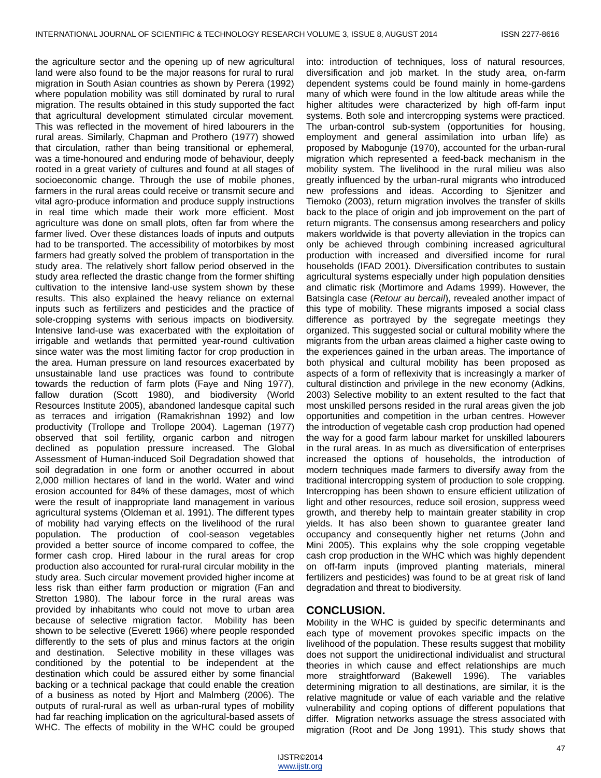the agriculture sector and the opening up of new agricultural land were also found to be the major reasons for rural to rural migration in South Asian countries as shown by Perera (1992) where population mobility was still dominated by rural to rural migration. The results obtained in this study supported the fact that agricultural development stimulated circular movement. This was reflected in the movement of hired labourers in the rural areas. Similarly, Chapman and Prothero (1977) showed that circulation, rather than being transitional or ephemeral, was a time-honoured and enduring mode of behaviour, deeply rooted in a great variety of cultures and found at all stages of socioeconomic change. Through the use of mobile phones, farmers in the rural areas could receive or transmit secure and vital agro-produce information and produce supply instructions in real time which made their work more efficient. Most agriculture was done on small plots, often far from where the farmer lived. Over these distances loads of inputs and outputs had to be transported. The accessibility of motorbikes by most farmers had greatly solved the problem of transportation in the study area. The relatively short fallow period observed in the study area reflected the drastic change from the former shifting cultivation to the intensive land-use system shown by these results. This also explained the heavy reliance on external inputs such as fertilizers and pesticides and the practice of sole-cropping systems with serious impacts on biodiversity. Intensive land-use was exacerbated with the exploitation of irrigable and wetlands that permitted year-round cultivation since water was the most limiting factor for crop production in the area. Human pressure on land resources exacerbated by unsustainable land use practices was found to contribute towards the reduction of farm plots (Faye and Ning 1977), fallow duration (Scott 1980), and biodiversity (World Resources Institute 2005), abandoned landesque capital such as terraces and irrigation (Ramakrishnan 1992) and low productivity (Trollope and Trollope 2004). Lageman (1977) observed that soil fertility, organic carbon and nitrogen declined as population pressure increased. The Global Assessment of Human-induced Soil Degradation showed that soil degradation in one form or another occurred in about 2,000 million hectares of land in the world. Water and wind erosion accounted for 84% of these damages, most of which were the result of inappropriate land management in various agricultural systems (Oldeman et al. 1991). The different types of mobility had varying effects on the livelihood of the rural population. The production of cool-season vegetables provided a better source of income compared to coffee, the former cash crop. Hired labour in the rural areas for crop production also accounted for rural-rural circular mobility in the study area. Such circular movement provided higher income at less risk than either farm production or migration (Fan and Stretton 1980). The labour force in the rural areas was provided by inhabitants who could not move to urban area because of selective migration factor. Mobility has been shown to be selective (Everett 1966) where people responded differently to the sets of plus and minus factors at the origin and destination. Selective mobility in these villages was conditioned by the potential to be independent at the destination which could be assured either by some financial backing or a technical package that could enable the creation of a business as noted by Hjort and Malmberg (2006). The outputs of rural-rural as well as urban-rural types of mobility had far reaching implication on the agricultural-based assets of WHC. The effects of mobility in the WHC could be grouped

into: introduction of techniques, loss of natural resources, diversification and job market. In the study area, on-farm dependent systems could be found mainly in home-gardens many of which were found in the low altitude areas while the higher altitudes were characterized by high off-farm input systems. Both sole and intercropping systems were practiced. The urban-control sub-system (opportunities for housing, employment and general assimilation into urban life) as proposed by Mabogunje (1970), accounted for the urban-rural migration which represented a feed-back mechanism in the mobility system. The livelihood in the rural milieu was also greatly influenced by the urban-rural migrants who introduced new professions and ideas. According to Sjenitzer and Tiemoko (2003), return migration involves the transfer of skills back to the place of origin and job improvement on the part of return migrants. The consensus among researchers and policy makers worldwide is that poverty alleviation in the tropics can only be achieved through combining increased agricultural production with increased and diversified income for rural households (IFAD 2001). Diversification contributes to sustain agricultural systems especially under high population densities and climatic risk (Mortimore and Adams 1999). However, the Batsingla case (*Retour au bercail*), revealed another impact of this type of mobility. These migrants imposed a social class difference as portrayed by the segregate meetings they organized. This suggested social or cultural mobility where the migrants from the urban areas claimed a higher caste owing to the experiences gained in the urban areas. The importance of both physical and cultural mobility has been proposed as aspects of a form of reflexivity that is increasingly a marker of cultural distinction and privilege in the new economy (Adkins, 2003) Selective mobility to an extent resulted to the fact that most unskilled persons resided in the rural areas given the job opportunities and competition in the urban centres. However the introduction of vegetable cash crop production had opened the way for a good farm labour market for unskilled labourers in the rural areas. In as much as diversification of enterprises increased the options of households, the introduction of modern techniques made farmers to diversify away from the traditional intercropping system of production to sole cropping. Intercropping has been shown to ensure efficient utilization of light and other resources, reduce soil erosion, suppress weed growth, and thereby help to maintain greater stability in crop yields. It has also been shown to guarantee greater land occupancy and consequently higher net returns (John and Mini 2005). This explains why the sole cropping vegetable cash crop production in the WHC which was highly dependent on off-farm inputs (improved planting materials, mineral fertilizers and pesticides) was found to be at great risk of land degradation and threat to biodiversity.

### **CONCLUSION.**

Mobility in the WHC is guided by specific determinants and each type of movement provokes specific impacts on the livelihood of the population. These results suggest that mobility does not support the unidirectional individualist and structural theories in which cause and effect relationships are much more straightforward (Bakewell 1996). The variables determining migration to all destinations, are similar, it is the relative magnitude or value of each variable and the relative vulnerability and coping options of different populations that differ. Migration networks assuage the stress associated with migration (Root and De Jong 1991). This study shows that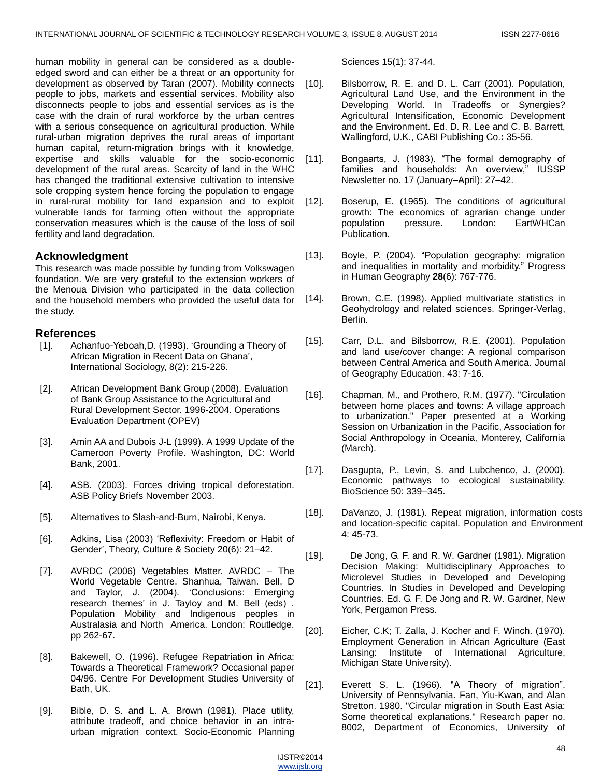human mobility in general can be considered as a doubleedged sword and can either be a threat or an opportunity for development as observed by Taran (2007). Mobility connects people to jobs, markets and essential services. Mobility also disconnects people to jobs and essential services as is the case with the drain of rural workforce by the urban centres with a serious consequence on agricultural production. While rural-urban migration deprives the rural areas of important human capital, return-migration brings with it knowledge, expertise and skills valuable for the socio-economic development of the rural areas. Scarcity of land in the WHC has changed the traditional extensive cultivation to intensive sole cropping system hence forcing the population to engage in rural-rural mobility for land expansion and to exploit vulnerable lands for farming often without the appropriate conservation measures which is the cause of the loss of soil fertility and land degradation.

## **Acknowledgment**

This research was made possible by funding from Volkswagen foundation. We are very grateful to the extension workers of the Menoua Division who participated in the data collection and the household members who provided the useful data for the study.

## **References**

- [1]. Achanfuo-Yeboah, D. (1993). 'Grounding a Theory of African Migration in Recent Data on Ghana', International Sociology, 8(2): 215-226.
- [2]. African Development Bank Group (2008). Evaluation of Bank Group Assistance to the Agricultural and Rural Development Sector. 1996-2004. Operations Evaluation Department (OPEV)
- [3]. Amin AA and Dubois J-L (1999). A 1999 Update of the Cameroon Poverty Profile. Washington, DC: World Bank, 2001.
- [4]. ASB. (2003). Forces driving tropical deforestation. ASB Policy Briefs November 2003.
- [5]. Alternatives to Slash-and-Burn, Nairobi, Kenya.
- [6]. Adkins, Lisa (2003) 'Reflexivity: Freedom or Habit of Gender', Theory, Culture & Society 20(6): 21–42.
- [7]. AVRDC (2006) Vegetables Matter. AVRDC The World Vegetable Centre. Shanhua, Taiwan. Bell, D and Taylor, J. (2004). 'Conclusions: Emerging research themes' in J. Tayloy and M. Bell (eds) . Population Mobility and Indigenous peoples in Australasia and North America. London: Routledge. pp 262-67.
- [8]. Bakewell, O. (1996). Refugee Repatriation in Africa: Towards a Theoretical Framework? Occasional paper 04/96. Centre For Development Studies University of Bath, UK.
- [9]. Bible, D. S. and L. A. Brown (1981). Place utility, attribute tradeoff, and choice behavior in an intraurban migration context. Socio-Economic Planning

Sciences 15(1): 37-44.

- [10]. Bilsborrow, R. E. and D. L. Carr (2001). Population, Agricultural Land Use, and the Environment in the Developing World. In Tradeoffs or Synergies? Agricultural Intensification, Economic Development and the Environment. Ed. D. R. Lee and C. B. Barrett, Wallingford, U.K., CABI Publishing Co.**:** 35-56.
- [11]. Bongaarts, J. (1983). "The formal demography of families and households: An overview," IUSSP Newsletter no. 17 (January–April): 27–42.
- [12]. Boserup, E. (1965). The conditions of agricultural growth: The economics of agrarian change under population pressure. London: EartWHCan Publication.
- [13]. Boyle, P. (2004). "Population geography: migration and inequalities in mortality and morbidity." Progress in Human Geography **28**(6): 767-776.
- [14]. Brown, C.E. (1998). Applied multivariate statistics in Geohydrology and related sciences. Springer-Verlag, Berlin.
- [15]. Carr, D.L. and Bilsborrow, R.E. (2001). Population and land use/cover change: A regional comparison between Central America and South America. Journal of Geography Education. 43: 7-16.
- [16]. Chapman, M., and Prothero, R.M. (1977). "Circulation between home places and towns: A village approach to urbanization." Paper presented at a Working Session on Urbanization in the Pacific, Association for Social Anthropology in Oceania, Monterey, California (March).
- [17]. Dasgupta, P., Levin, S. and Lubchenco, J. (2000). Economic pathways to ecological sustainability. BioScience 50: 339–345.
- [18]. DaVanzo, J. (1981). Repeat migration, information costs and location-specific capital. Population and Environment 4: 45-73.
- [19]. De Jong, G. F. and R. W. Gardner (1981). Migration Decision Making: Multidisciplinary Approaches to Microlevel Studies in Developed and Developing Countries. In Studies in Developed and Developing Countries. Ed. G. F. De Jong and R. W. Gardner, New York, Pergamon Press.
- [20]. Eicher, C.K; T. Zalla, J. Kocher and F. Winch. (1970). Employment Generation in African Agriculture (East Lansing: Institute of International Agriculture, Michigan State University).
- [21]. Everett S. L. (1966). "A Theory of migration". University of Pennsylvania. Fan, Yiu-Kwan, and Alan Stretton. 1980. "Circular migration in South East Asia: Some theoretical explanations." Research paper no. 8002, Department of Economics, University of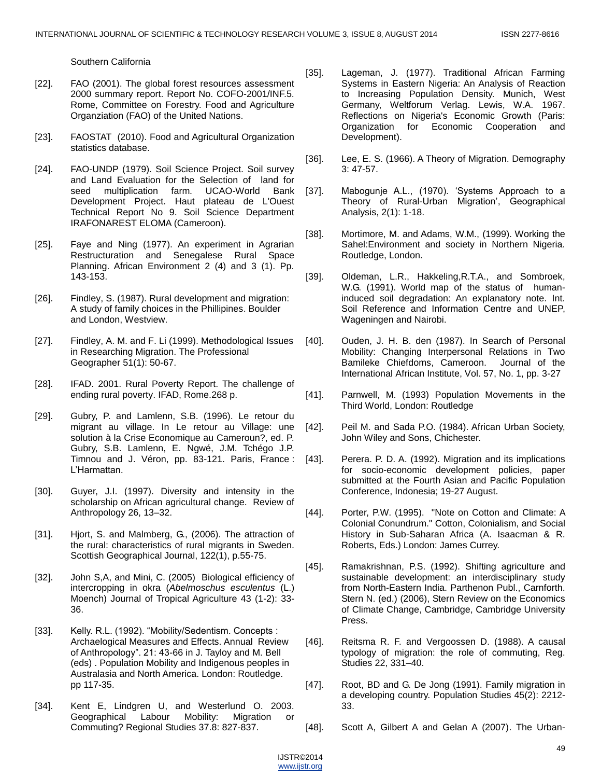Southern California

- [22]. FAO (2001). The global forest resources assessment 2000 summary report. Report No. COFO-2001/INF.5. Rome, Committee on Forestry. Food and Agriculture Organziation (FAO) of the United Nations.
- [23]. FAOSTAT (2010). Food and Agricultural Organization statistics database.
- [24]. FAO-UNDP (1979). Soil Science Project. Soil survey and Land Evaluation for the Selection of land for seed multiplication farm. UCAO-World Bank Development Project. Haut plateau de L'Ouest Technical Report No 9. Soil Science Department IRAFONAREST ELOMA (Cameroon).
- [25]. Faye and Ning (1977). An experiment in Agrarian Restructuration and Senegalese Rural Space Planning. African Environment 2 (4) and 3 (1). Pp. 143-153.
- [26]. Findley, S. (1987). Rural development and migration: A study of family choices in the Phillipines. Boulder and London, Westview.
- [27]. Findley, A. M. and F. Li (1999). Methodological Issues in Researching Migration. The Professional Geographer 51(1): 50-67.
- [28]. IFAD. 2001. Rural Poverty Report. The challenge of ending rural poverty. IFAD, Rome.268 p.
- [29]. Gubry, P. and Lamlenn, S.B. (1996). Le retour du migrant au village. In Le retour au Village: une solution à la Crise Economique au Cameroun?, ed. P. Gubry, S.B. Lamlenn, E. Ngwé, J.M. Tchégo J.P. Timnou and J. Véron, pp. 83-121. Paris, France : L'Harmattan.
- [30]. Guyer, J.I. (1997). Diversity and intensity in the scholarship on African agricultural change. Review of Anthropology 26, 13–32.
- [31]. Hjort, S. and Malmberg, G., (2006). The attraction of the rural: characteristics of rural migrants in Sweden. Scottish Geographical Journal, 122(1), p.55-75.
- [32]. John S,A, and Mini, C. (2005) Biological efficiency of intercropping in okra (*Abelmoschus esculentus* (L.) Moench) Journal of Tropical Agriculture 43 (1-2): 33- 36.
- [33]. Kelly. R.L. (1992). "Mobility/Sedentism. Concepts : Archaelogical Measures and Effects. Annual Review of Anthropology". 21: 43-66 in J. Tayloy and M. Bell (eds) . Population Mobility and Indigenous peoples in Australasia and North America. London: Routledge. pp 117-35.
- [34]. Kent E, Lindgren U, and Westerlund O. 2003. Geographical Labour Mobility: Migration or Commuting? Regional Studies 37.8: 827-837.
- [35]. Lageman, J. (1977). Traditional African Farming Systems in Eastern Nigeria: An Analysis of Reaction to Increasing Population Density. Munich, West Germany, Weltforum Verlag. Lewis, W.A. 1967. Reflections on Nigeria's Economic Growth (Paris: Organization for Economic Cooperation and Development).
- [36]. Lee, E. S. (1966). A Theory of Migration. Demography 3: 47-57.
- [37]. Mabogunje A.L., (1970). 'Systems Approach to a Theory of Rural-Urban Migration', Geographical Analysis, 2(1): 1-18.
- [38]. Mortimore, M. and Adams, W.M., (1999). Working the Sahel:Environment and society in Northern Nigeria. Routledge, London.
- [39]. Oldeman, L.R., Hakkeling, R.T.A., and Sombroek, W.G. (1991). World map of the status of humaninduced soil degradation: An explanatory note. Int. Soil Reference and Information Centre and UNEP, Wageningen and Nairobi.
- [40]. Ouden, J. H. B. den (1987). In Search of Personal Mobility: Changing Interpersonal Relations in Two Bamileke Chiefdoms, Cameroon. Journal of the International African Institute, Vol. 57, No. 1, pp. 3-27
- [41]. Parnwell, M. (1993) Population Movements in the Third World, London: Routledge
- [42]. Peil M. and Sada P.O. (1984). African Urban Society, John Wiley and Sons, Chichester.
- [43]. Perera. P. D. A. (1992). Migration and its implications for socio-economic development policies, paper submitted at the Fourth Asian and Pacific Population Conference, Indonesia; 19-27 August.
- [44]. Porter, P.W. (1995). "Note on Cotton and Climate: A Colonial Conundrum." Cotton, Colonialism, and Social History in Sub-Saharan Africa (A. Isaacman & R. Roberts, Eds.) London: James Currey.
- [45]. Ramakrishnan, P.S. (1992). Shifting agriculture and sustainable development: an interdisciplinary study from North-Eastern India. Parthenon Publ., Carnforth. Stern N. (ed.) (2006), Stern Review on the Economics of Climate Change, Cambridge, Cambridge University Press.
- [46]. Reitsma R. F. and Vergoossen D. (1988). A causal typology of migration: the role of commuting, Reg. Studies 22, 331–40.
- [47]. Root, BD and G. De Jong (1991). Family migration in a developing country. Population Studies 45(2): 2212- 33.
- [48]. Scott A, Gilbert A and Gelan A (2007). The Urban-